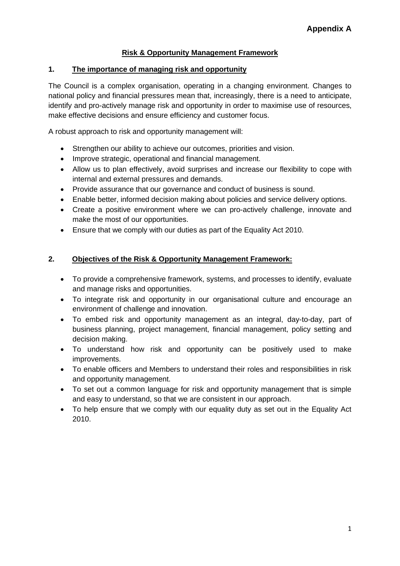## **Risk & Opportunity Management Framework**

## **1. The importance of managing risk and opportunity**

The Council is a complex organisation, operating in a changing environment. Changes to national policy and financial pressures mean that, increasingly, there is a need to anticipate, identify and pro-actively manage risk and opportunity in order to maximise use of resources, make effective decisions and ensure efficiency and customer focus.

A robust approach to risk and opportunity management will:

- Strengthen our ability to achieve our outcomes, priorities and vision.
- Improve strategic, operational and financial management.
- Allow us to plan effectively, avoid surprises and increase our flexibility to cope with internal and external pressures and demands.
- Provide assurance that our governance and conduct of business is sound.
- Enable better, informed decision making about policies and service delivery options.
- Create a positive environment where we can pro-actively challenge, innovate and make the most of our opportunities.
- Ensure that we comply with our duties as part of the Equality Act 2010.

## **2. Objectives of the Risk & Opportunity Management Framework:**

- To provide a comprehensive framework, systems, and processes to identify, evaluate and manage risks and opportunities.
- To integrate risk and opportunity in our organisational culture and encourage an environment of challenge and innovation.
- To embed risk and opportunity management as an integral, day-to-day, part of business planning, project management, financial management, policy setting and decision making.
- To understand how risk and opportunity can be positively used to make improvements.
- To enable officers and Members to understand their roles and responsibilities in risk and opportunity management.
- To set out a common language for risk and opportunity management that is simple and easy to understand, so that we are consistent in our approach.
- To help ensure that we comply with our equality duty as set out in the Equality Act 2010.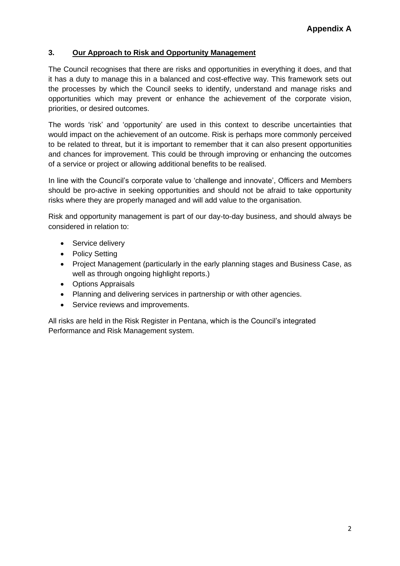## **3. Our Approach to Risk and Opportunity Management**

The Council recognises that there are risks and opportunities in everything it does, and that it has a duty to manage this in a balanced and cost-effective way. This framework sets out the processes by which the Council seeks to identify, understand and manage risks and opportunities which may prevent or enhance the achievement of the corporate vision, priorities, or desired outcomes.

The words 'risk' and 'opportunity' are used in this context to describe uncertainties that would impact on the achievement of an outcome. Risk is perhaps more commonly perceived to be related to threat, but it is important to remember that it can also present opportunities and chances for improvement. This could be through improving or enhancing the outcomes of a service or project or allowing additional benefits to be realised.

In line with the Council's corporate value to 'challenge and innovate', Officers and Members should be pro-active in seeking opportunities and should not be afraid to take opportunity risks where they are properly managed and will add value to the organisation.

Risk and opportunity management is part of our day-to-day business, and should always be considered in relation to:

- Service delivery
- Policy Setting
- Project Management (particularly in the early planning stages and Business Case, as well as through ongoing highlight reports.)
- Options Appraisals
- Planning and delivering services in partnership or with other agencies.
- Service reviews and improvements.

All risks are held in the Risk Register in Pentana, which is the Council's integrated Performance and Risk Management system.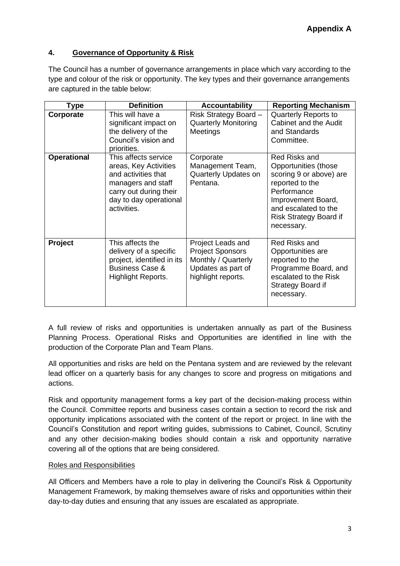## **4. Governance of Opportunity & Risk**

The Council has a number of governance arrangements in place which vary according to the type and colour of the risk or opportunity. The key types and their governance arrangements are captured in the table below:

| Type               | <b>Definition</b>                                                                                                                                             | <b>Accountability</b>                                                                                           | <b>Reporting Mechanism</b>                                                                                                                                                               |
|--------------------|---------------------------------------------------------------------------------------------------------------------------------------------------------------|-----------------------------------------------------------------------------------------------------------------|------------------------------------------------------------------------------------------------------------------------------------------------------------------------------------------|
| Corporate          | This will have a<br>significant impact on<br>the delivery of the<br>Council's vision and<br>priorities.                                                       | Risk Strategy Board -<br><b>Quarterly Monitoring</b><br>Meetings                                                | <b>Quarterly Reports to</b><br>Cabinet and the Audit<br>and Standards<br>Committee.                                                                                                      |
| <b>Operational</b> | This affects service<br>areas, Key Activities<br>and activities that<br>managers and staff<br>carry out during their<br>day to day operational<br>activities. | Corporate<br>Management Team,<br>Quarterly Updates on<br>Pentana.                                               | Red Risks and<br>Opportunities (those<br>scoring 9 or above) are<br>reported to the<br>Performance<br>Improvement Board,<br>and escalated to the<br>Risk Strategy Board if<br>necessary. |
| Project            | This affects the<br>delivery of a specific<br>project, identified in its<br><b>Business Case &amp;</b><br>Highlight Reports.                                  | Project Leads and<br><b>Project Sponsors</b><br>Monthly / Quarterly<br>Updates as part of<br>highlight reports. | Red Risks and<br>Opportunities are<br>reported to the<br>Programme Board, and<br>escalated to the Risk<br>Strategy Board if<br>necessary.                                                |

A full review of risks and opportunities is undertaken annually as part of the Business Planning Process. Operational Risks and Opportunities are identified in line with the production of the Corporate Plan and Team Plans.

All opportunities and risks are held on the Pentana system and are reviewed by the relevant lead officer on a quarterly basis for any changes to score and progress on mitigations and actions.

Risk and opportunity management forms a key part of the decision-making process within the Council. Committee reports and business cases contain a section to record the risk and opportunity implications associated with the content of the report or project. In line with the Council's Constitution and report writing guides, submissions to Cabinet, Council, Scrutiny and any other decision-making bodies should contain a risk and opportunity narrative covering all of the options that are being considered.

## Roles and Responsibilities

All Officers and Members have a role to play in delivering the Council's Risk & Opportunity Management Framework, by making themselves aware of risks and opportunities within their day-to-day duties and ensuring that any issues are escalated as appropriate.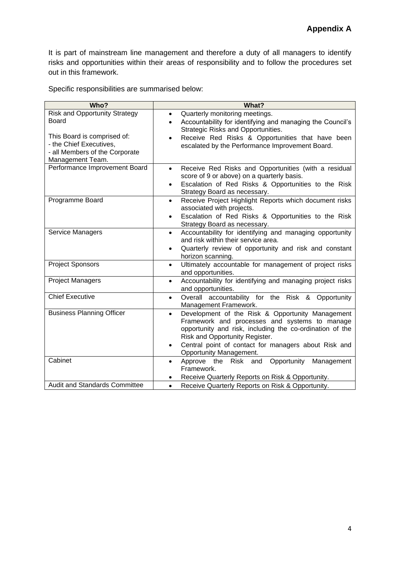It is part of mainstream line management and therefore a duty of all managers to identify risks and opportunities within their areas of responsibility and to follow the procedures set out in this framework.

Specific responsibilities are summarised below:

| Who?                                                                                                         | What?                                                                                                                                                                                                                                                                                                        |
|--------------------------------------------------------------------------------------------------------------|--------------------------------------------------------------------------------------------------------------------------------------------------------------------------------------------------------------------------------------------------------------------------------------------------------------|
| <b>Risk and Opportunity Strategy</b><br>Board                                                                | Quarterly monitoring meetings.<br>$\bullet$<br>Accountability for identifying and managing the Council's<br>$\bullet$<br>Strategic Risks and Opportunities.                                                                                                                                                  |
| This Board is comprised of:<br>- the Chief Executives,<br>- all Members of the Corporate<br>Management Team. | Receive Red Risks & Opportunities that have been<br>$\bullet$<br>escalated by the Performance Improvement Board.                                                                                                                                                                                             |
| Performance Improvement Board                                                                                | Receive Red Risks and Opportunities (with a residual<br>$\bullet$<br>score of 9 or above) on a quarterly basis.<br>Escalation of Red Risks & Opportunities to the Risk<br>$\bullet$<br>Strategy Board as necessary.                                                                                          |
| Programme Board                                                                                              | Receive Project Highlight Reports which document risks<br>$\bullet$<br>associated with projects.<br>Escalation of Red Risks & Opportunities to the Risk<br>Strategy Board as necessary.                                                                                                                      |
| Service Managers                                                                                             | Accountability for identifying and managing opportunity<br>$\bullet$<br>and risk within their service area.<br>Quarterly review of opportunity and risk and constant<br>$\bullet$<br>horizon scanning.                                                                                                       |
| <b>Project Sponsors</b>                                                                                      | Ultimately accountable for management of project risks<br>$\bullet$<br>and opportunities.                                                                                                                                                                                                                    |
| <b>Project Managers</b>                                                                                      | Accountability for identifying and managing project risks<br>$\bullet$<br>and opportunities.                                                                                                                                                                                                                 |
| <b>Chief Executive</b>                                                                                       | Overall accountability for the Risk & Opportunity<br>$\bullet$<br>Management Framework.                                                                                                                                                                                                                      |
| <b>Business Planning Officer</b>                                                                             | Development of the Risk & Opportunity Management<br>$\bullet$<br>Framework and processes and systems to manage<br>opportunity and risk, including the co-ordination of the<br>Risk and Opportunity Register.<br>Central point of contact for managers about Risk and<br>$\bullet$<br>Opportunity Management. |
| Cabinet                                                                                                      | Approve the Risk and Opportunity Management<br>$\bullet$<br>Framework.<br>Receive Quarterly Reports on Risk & Opportunity.                                                                                                                                                                                   |
| <b>Audit and Standards Committee</b>                                                                         | Receive Quarterly Reports on Risk & Opportunity.<br>$\bullet$                                                                                                                                                                                                                                                |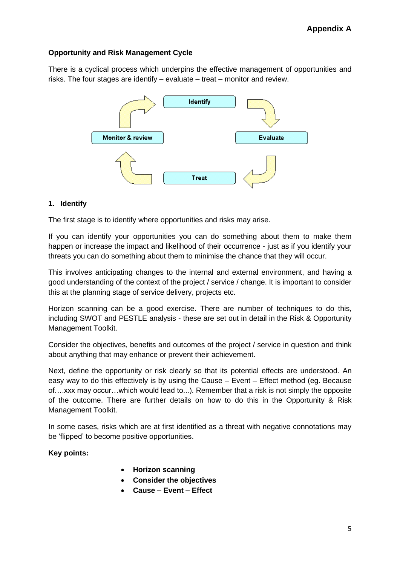## **Opportunity and Risk Management Cycle**

There is a cyclical process which underpins the effective management of opportunities and risks. The four stages are identify – evaluate – treat – monitor and review.



## **1. Identify**

The first stage is to identify where opportunities and risks may arise.

If you can identify your opportunities you can do something about them to make them happen or increase the impact and likelihood of their occurrence - just as if you identify your threats you can do something about them to minimise the chance that they will occur.

This involves anticipating changes to the internal and external environment, and having a good understanding of the context of the project / service / change. It is important to consider this at the planning stage of service delivery, projects etc.

Horizon scanning can be a good exercise. There are number of techniques to do this, including SWOT and PESTLE analysis - these are set out in detail in the Risk & Opportunity Management Toolkit.

Consider the objectives, benefits and outcomes of the project / service in question and think about anything that may enhance or prevent their achievement.

Next, define the opportunity or risk clearly so that its potential effects are understood. An easy way to do this effectively is by using the Cause – Event – Effect method (eg. Because of….xxx may occur…which would lead to...). Remember that a risk is not simply the opposite of the outcome. There are further details on how to do this in the Opportunity & Risk Management Toolkit.

In some cases, risks which are at first identified as a threat with negative connotations may be 'flipped' to become positive opportunities.

#### **Key points:**

- **Horizon scanning**
- **Consider the objectives**
- **Cause – Event – Effect**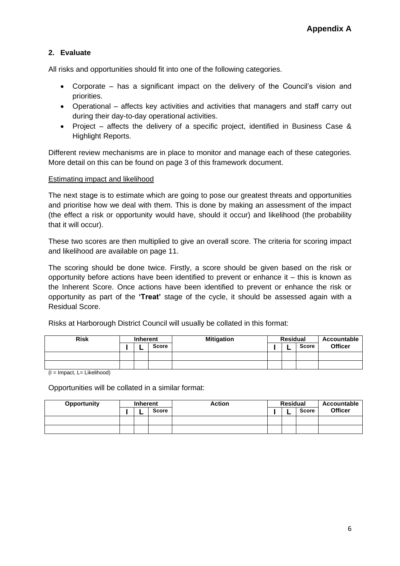## **2. Evaluate**

All risks and opportunities should fit into one of the following categories.

- Corporate has a significant impact on the delivery of the Council's vision and priorities.
- Operational affects key activities and activities that managers and staff carry out during their day-to-day operational activities.
- Project affects the delivery of a specific project, identified in Business Case & Highlight Reports.

Different review mechanisms are in place to monitor and manage each of these categories. More detail on this can be found on page 3 of this framework document.

#### Estimating impact and likelihood

The next stage is to estimate which are going to pose our greatest threats and opportunities and prioritise how we deal with them. This is done by making an assessment of the impact (the effect a risk or opportunity would have, should it occur) and likelihood (the probability that it will occur).

These two scores are then multiplied to give an overall score. The criteria for scoring impact and likelihood are available on page 11.

The scoring should be done twice. Firstly, a score should be given based on the risk or opportunity before actions have been identified to prevent or enhance it – this is known as the Inherent Score. Once actions have been identified to prevent or enhance the risk or opportunity as part of the **'Treat'** stage of the cycle, it should be assessed again with a Residual Score.

Risks at Harborough District Council will usually be collated in this format:

| <b>Risk</b> | <b>Inherent</b> |  |              | <b>Mitigation</b> | <b>Residual</b> |  |              | Accountable    |
|-------------|-----------------|--|--------------|-------------------|-----------------|--|--------------|----------------|
|             |                 |  | <b>Score</b> |                   |                 |  | <b>Score</b> | <b>Officer</b> |
|             |                 |  |              |                   |                 |  |              |                |
|             |                 |  |              |                   |                 |  |              |                |

 $(I =$  Impact, L= Likelihood)

Opportunities will be collated in a similar format:

| Opportunity | <b>Inherent</b> |  |       | <b>Action</b> | <b>Residual</b> |  |              | Accountable    |
|-------------|-----------------|--|-------|---------------|-----------------|--|--------------|----------------|
|             |                 |  | Score |               |                 |  | <b>Score</b> | <b>Officer</b> |
|             |                 |  |       |               |                 |  |              |                |
|             |                 |  |       |               |                 |  |              |                |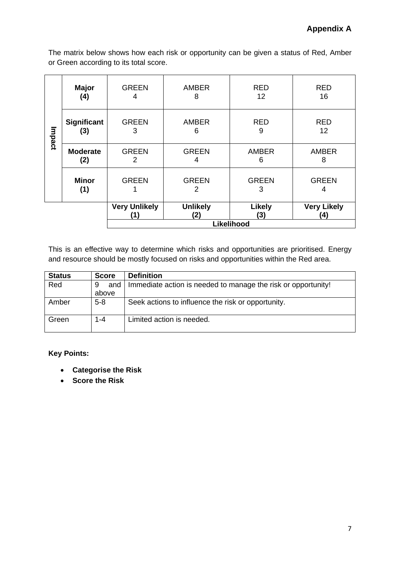The matrix below shows how each risk or opportunity can be given a status of Red, Amber or Green according to its total score.

|        | <b>Major</b><br>(4)       | <b>GREEN</b><br>4          | <b>AMBER</b><br>8      | <b>RED</b><br>12     | <b>RED</b><br>16          |  |  |
|--------|---------------------------|----------------------------|------------------------|----------------------|---------------------------|--|--|
| Impact | <b>Significant</b><br>(3) | <b>GREEN</b><br>3          | <b>AMBER</b><br>6      | <b>RED</b><br>9      | <b>RED</b><br>12          |  |  |
|        | <b>Moderate</b><br>(2)    | <b>GREEN</b><br>2          | <b>GREEN</b><br>4      | <b>AMBER</b><br>6    | <b>AMBER</b><br>8         |  |  |
|        | <b>Minor</b><br>(1)       | <b>GREEN</b>               | <b>GREEN</b><br>2      | <b>GREEN</b><br>3    | <b>GREEN</b><br>4         |  |  |
|        |                           | <b>Very Unlikely</b><br>11 | <b>Unlikely</b><br>(2) | <b>Likely</b><br>(3) | <b>Very Likely</b><br>(4) |  |  |
|        |                           | Likelihood                 |                        |                      |                           |  |  |

This is an effective way to determine which risks and opportunities are prioritised. Energy and resource should be mostly focused on risks and opportunities within the Red area.

| <b>Status</b> | <b>Score</b> | <b>Definition</b>                                             |
|---------------|--------------|---------------------------------------------------------------|
| Red           | and<br>9     | Immediate action is needed to manage the risk or opportunity! |
|               | above        |                                                               |
| Amber         | $5 - 8$      | Seek actions to influence the risk or opportunity.            |
| Green         | $1 - 4$      | Limited action is needed.                                     |

## **Key Points:**

- **Categorise the Risk**
- **Score the Risk**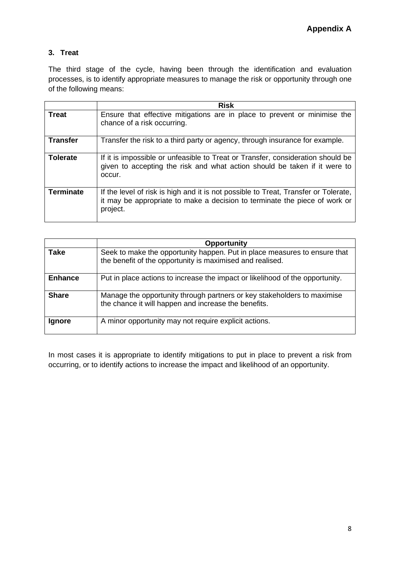# **3. Treat**

The third stage of the cycle, having been through the identification and evaluation processes, is to identify appropriate measures to manage the risk or opportunity through one of the following means:

|                  | <b>Risk</b>                                                                                                                                                                   |
|------------------|-------------------------------------------------------------------------------------------------------------------------------------------------------------------------------|
| <b>Treat</b>     | Ensure that effective mitigations are in place to prevent or minimise the<br>chance of a risk occurring.                                                                      |
| <b>Transfer</b>  | Transfer the risk to a third party or agency, through insurance for example.                                                                                                  |
| <b>Tolerate</b>  | If it is impossible or unfeasible to Treat or Transfer, consideration should be<br>given to accepting the risk and what action should be taken if it were to<br>occur.        |
| <b>Terminate</b> | If the level of risk is high and it is not possible to Treat, Transfer or Tolerate,<br>it may be appropriate to make a decision to terminate the piece of work or<br>project. |

|                | <b>Opportunity</b>                                                                                                                     |
|----------------|----------------------------------------------------------------------------------------------------------------------------------------|
| <b>Take</b>    | Seek to make the opportunity happen. Put in place measures to ensure that<br>the benefit of the opportunity is maximised and realised. |
| <b>Enhance</b> | Put in place actions to increase the impact or likelihood of the opportunity.                                                          |
| <b>Share</b>   | Manage the opportunity through partners or key stakeholders to maximise<br>the chance it will happen and increase the benefits.        |
| <b>Ignore</b>  | A minor opportunity may not require explicit actions.                                                                                  |

In most cases it is appropriate to identify mitigations to put in place to prevent a risk from occurring, or to identify actions to increase the impact and likelihood of an opportunity.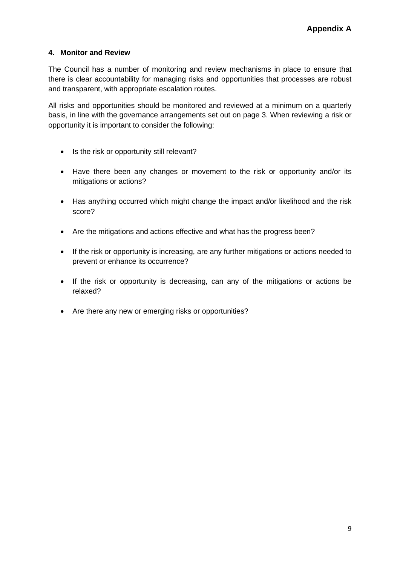## **4. Monitor and Review**

The Council has a number of monitoring and review mechanisms in place to ensure that there is clear accountability for managing risks and opportunities that processes are robust and transparent, with appropriate escalation routes.

All risks and opportunities should be monitored and reviewed at a minimum on a quarterly basis, in line with the governance arrangements set out on page 3. When reviewing a risk or opportunity it is important to consider the following:

- Is the risk or opportunity still relevant?
- Have there been any changes or movement to the risk or opportunity and/or its mitigations or actions?
- Has anything occurred which might change the impact and/or likelihood and the risk score?
- Are the mitigations and actions effective and what has the progress been?
- If the risk or opportunity is increasing, are any further mitigations or actions needed to prevent or enhance its occurrence?
- If the risk or opportunity is decreasing, can any of the mitigations or actions be relaxed?
- Are there any new or emerging risks or opportunities?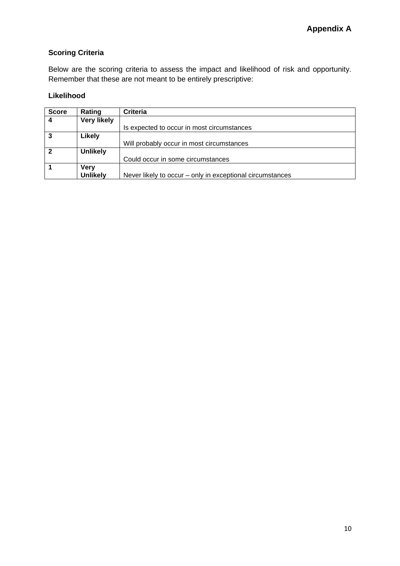# **Scoring Criteria**

Below are the scoring criteria to assess the impact and likelihood of risk and opportunity. Remember that these are not meant to be entirely prescriptive:

## **Likelihood**

| <b>Score</b>   | Rating             | <b>Criteria</b>                                           |  |
|----------------|--------------------|-----------------------------------------------------------|--|
| $\overline{4}$ | <b>Very likely</b> |                                                           |  |
|                |                    | Is expected to occur in most circumstances                |  |
| $\mathbf{3}$   | Likely             |                                                           |  |
|                |                    | Will probably occur in most circumstances                 |  |
| $\overline{2}$ | <b>Unlikely</b>    |                                                           |  |
|                |                    | Could occur in some circumstances                         |  |
|                | <b>Very</b>        |                                                           |  |
|                | <b>Unlikely</b>    | Never likely to occur – only in exceptional circumstances |  |